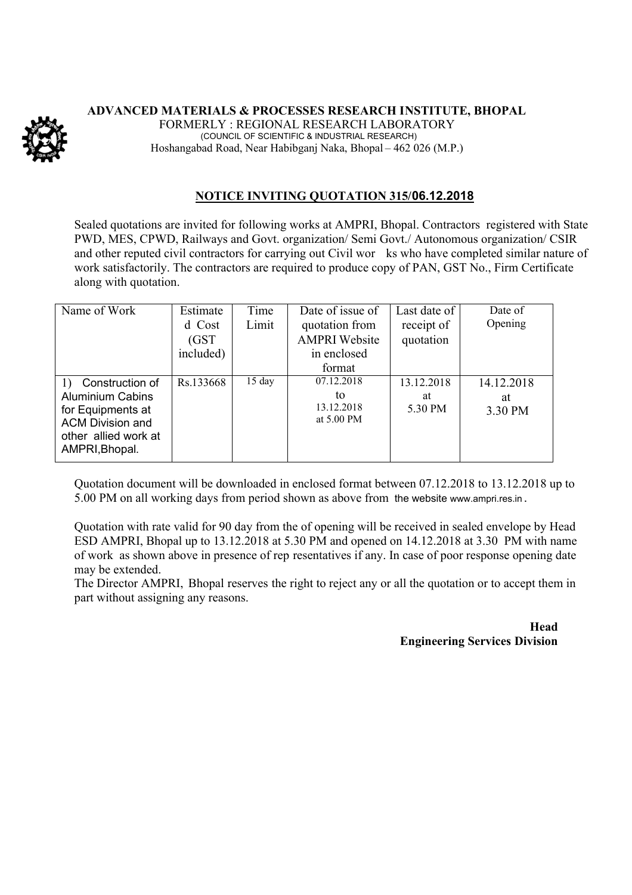

## **ADVANCED MATERIALS & PROCESSES RESEARCH INSTITUTE, BHOPAL** FORMERLY : REGIONAL RESEARCH LABORATORY (COUNCIL OF SCIENTIFIC & INDUSTRIAL RESEARCH) Hoshangabad Road, Near Habibganj Naka, Bhopal – 462 026 (M.P.)

## **NOTICE INVITING QUOTATION 315/06.12.2018**

Sealed quotations are invited for following works at AMPRI, Bhopal. Contractors registered with State PWD, MES, CPWD, Railways and Govt. organization/ Semi Govt./ Autonomous organization/ CSIR and other reputed civil contractors for carrying out Civil wor ks who have completed similar nature of work satisfactorily. The contractors are required to produce copy of PAN, GST No., Firm Certificate along with quotation.

| Name of Work                                                                                                                               | Estimate<br>d Cost<br>(GST)<br>included) | Time<br>Limit    | Date of issue of<br>quotation from<br><b>AMPRI</b> Website<br>in enclosed | Last date of<br>receipt of<br>quotation | Date of<br>Opening          |
|--------------------------------------------------------------------------------------------------------------------------------------------|------------------------------------------|------------------|---------------------------------------------------------------------------|-----------------------------------------|-----------------------------|
|                                                                                                                                            |                                          |                  | format                                                                    |                                         |                             |
| Construction of<br>1)<br><b>Aluminium Cabins</b><br>for Equipments at<br><b>ACM Division and</b><br>other allied work at<br>AMPRI, Bhopal. | Rs.133668                                | $15 \text{ day}$ | 07.12.2018<br>to<br>13.12.2018<br>at 5.00 PM                              | 13.12.2018<br>at<br>5.30 PM             | 14.12.2018<br>at<br>3.30 PM |

Quotation document will be downloaded in enclosed format between 07.12.2018 to 13.12.2018 up to 5.00 PM on all working days from period shown as above from the website www.ampri.res.in .

Quotation with rate valid for 90 day from the of opening will be received in sealed envelope by Head ESD AMPRI, Bhopal up to 13.12.2018 at 5.30 PM and opened on 14.12.2018 at 3.30 PM with name of work as shown above in presence of rep resentatives if any. In case of poor response opening date may be extended.

The Director AMPRI, Bhopal reserves the right to reject any or all the quotation or to accept them in part without assigning any reasons.

> **Head Engineering Services Division**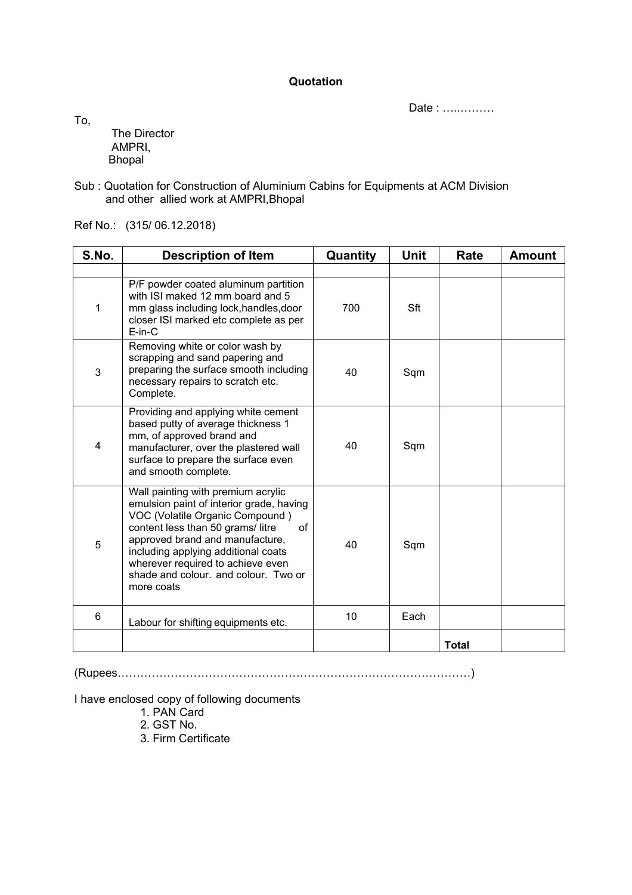**Quotation**

Date : …..………

To,

The Director AMPRI, Bhopal

Sub : Quotation for Construction of Aluminium Cabins for Equipments at ACM Division and other allied work at AMPRI,Bhopal

Ref No.: (315/ 06.12.2018)

| S.No. | <b>Description of Item</b>                                                                                                                                                                                                                                                                                                       | Quantity | <b>Unit</b> | Rate         | <b>Amount</b> |
|-------|----------------------------------------------------------------------------------------------------------------------------------------------------------------------------------------------------------------------------------------------------------------------------------------------------------------------------------|----------|-------------|--------------|---------------|
|       |                                                                                                                                                                                                                                                                                                                                  |          |             |              |               |
| 1     | P/F powder coated aluminum partition<br>with ISI maked 12 mm board and 5<br>mm glass including lock, handles, door<br>closer ISI marked etc complete as per<br>$E-in-C$                                                                                                                                                          | 700      | Sft         |              |               |
| 3     | Removing white or color wash by<br>scrapping and sand papering and<br>preparing the surface smooth including<br>necessary repairs to scratch etc.<br>Complete.                                                                                                                                                                   | 40       | Sqm         |              |               |
| 4     | Providing and applying white cement<br>based putty of average thickness 1<br>mm, of approved brand and<br>manufacturer, over the plastered wall<br>surface to prepare the surface even<br>and smooth complete.                                                                                                                   | 40       | Sqm         |              |               |
| 5     | Wall painting with premium acrylic<br>emulsion paint of interior grade, having<br>VOC (Volatile Organic Compound)<br>content less than 50 grams/litre<br>0f<br>approved brand and manufacture,<br>including applying additional coats<br>wherever required to achieve even<br>shade and colour, and colour. Two or<br>more coats | 40       | Sqm         |              |               |
| 6     | Labour for shifting equipments etc.                                                                                                                                                                                                                                                                                              | 10       | Each        |              |               |
|       |                                                                                                                                                                                                                                                                                                                                  |          |             | <b>Total</b> |               |

(Rupees…………………………………………………………………………………)

I have enclosed copy of following documents

- 1. PAN Card
- 2. GST No.
- 3. Firm Certificate